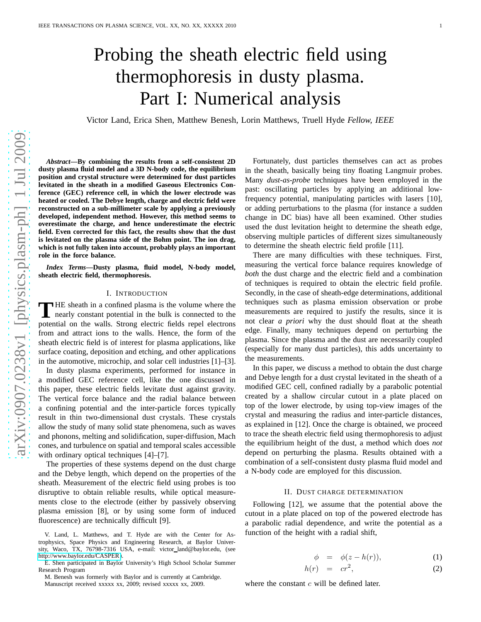# Probing the sheath electric field using thermophoresis in dusty plasma. Part I: Numerical analysis

Victor Land, Erica Shen, Matthew Benesh, Lorin Matthews, Truell Hyde *Fellow, IEEE*

*Abstract***—By combining the results from a self-consistent 2D dusty plasma fluid model and a 3D N-body code, the equilibrium position and crystal structure were determined for dust particles levitated in the sheath in a modified Gaseous Electronics Conference (GEC) reference cell, in which the lower electrode was heated or cooled. The Debye length, charge and electric field were reconstructed on a sub-millimeter scale by applying a previously developed, independent method. However, this method seems to overestimate the charge, and hence underestimate the electric field. Even corrected for this fact, the results show that the dust is levitated on the plasma side of the Bohm point. The ion drag, which is not fully taken into account, probably plays an important role in the force balance.**

*Index Terms***—Dusty plasma, fluid model, N-body model, sheath electric field, thermophoresis.**

# I. INTRODUCTION

**T**HE sheath in a confined plasma is the volume where the nearly constant potential in the bulk is connected to the nearly constant potential in the bulk is connected to the potential on the walls. Strong electric fields repel electrons from and attract ions to the walls. Hence, the form of the sheath electric field is of interest for plasma applications, like surface coating, deposition and etching, and other applications in the automotive, microchip, and solar cell industries [1]–[3].

In dusty plasma experiments, performed for instance in a modified GEC reference cell, like the one discussed in this paper, these electric fields levitate dust against gravity. The vertical force balance and the radial balance between a confining potential and the inter-particle forces typically result in thin two-dimensional dust crystals. These crystals allow the study of many solid state phenomena, such as waves and phonons, melting and solidification, super-diffusion, Mach cones, and turbulence on spatial and temporal scales accessible with ordinary optical techniques [4]–[7].

The properties of these systems depend on the dust charge and the Debye length, which depend on the properties of the sheath. Measurement of the electric field using probes is too disruptive to obtain reliable results, while optical measurements close to the electrode (either by passively observing plasma emission [8], or by using some form of induced fluorescence) are technically difficult [9].

Fortunately, dust particles themselves can act as probes in the sheath, basically being tiny floating Langmuir probes. Many *dust-as-probe* techniques have been employed in the past: oscillating particles by applying an additional lowfrequency potential, manipulating particles with lasers [10], or adding perturbations to the plasma (for instance a sudden change in DC bias) have all been examined. Other studies used the dust levitation height to determine the sheath edge, observing multiple particles of different sizes simultaneously to determine the sheath electric field profile [11].

There are many difficulties with these techniques. First, measuring the vertical force balance requires knowledge of *both* the dust charge and the electric field and a combination of techniques is required to obtain the electric field profile. Secondly, in the case of sheath-edge determinations, additional techniques such as plasma emission observation or probe measurements are required to justify the results, since it is not clear *a priori* why the dust should float at the sheath edge. Finally, many techniques depend on perturbing the plasma. Since the plasma and the dust are necessarily coupled (especially for many dust particles), this adds uncertainty to the measurements.

In this paper, we discuss a method to obtain the dust charge and Debye length for a dust crystal levitated in the sheath of a modified GEC cell, confined radially by a parabolic potential created by a shallow circular cutout in a plate placed on top of the lower electrode, by using top-view images of the crystal and measuring the radius and inter-particle distances, as explained in [12]. Once the charge is obtained, we proceed to trace the sheath electric field using thermophoresis to adjust the equilibrium height of the dust, a method which does *not* depend on perturbing the plasma. Results obtained with a combination of a self-consistent dusty plasma fluid model and a N-body code are employed for this discussion.

# II. DUST CHARGE DETERMINATION

Following [12], we assume that the potential above the cutout in a plate placed on top of the powered electrode has a parabolic radial dependence, and write the potential as a function of the height with a radial shift,

$$
\phi = \phi(z - h(r)), \tag{1}
$$

$$
h(r) = cr^2,
$$
 (2)

where the constant  $c$  will be defined later.

V. Land, L. Matthews, and T. Hyde are with the Center for Astrophysics, Space Physics and Engineering Research, at Baylor University, Waco, TX, 76798-7316 USA, e-mail: victor land@baylor.edu, (see [http://www.baylor.edu/CASPER\)](http://www.baylor.edu/CASPER).

E. Shen participated in Baylor University's High School Scholar Summer Research Program

M. Benesh was formerly with Baylor and is currently at Cambridge. Manuscript received xxxxx xx, 2009; revised xxxxx xx, 2009.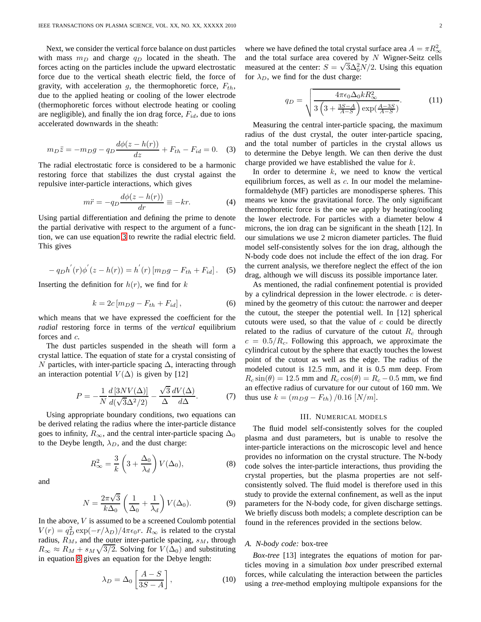Next, we consider the vertical force balance on dust particles with mass  $m_D$  and charge  $q_D$  located in the sheath. The forces acting on the particles include the upward electrostatic force due to the vertical sheath electric field, the force of gravity, with acceleration  $g$ , the thermophoretic force,  $F_{th}$ , due to the applied heating or cooling of the lower electrode (thermophoretic forces without electrode heating or cooling are negligible), and finally the ion drag force,  $F_{id}$ , due to ions accelerated downwards in the sheath:

<span id="page-1-0"></span>
$$
m_D \ddot{z} = -m_D g - q_D \frac{d\phi(z - h(r))}{dz} + F_{th} - F_{id} = 0. \quad (3)
$$

The radial electrostatic force is considered to be a harmonic restoring force that stabilizes the dust crystal against the repulsive inter-particle interactions, which gives

$$
m\ddot{r} = -q_D \frac{d\phi(z - h(r))}{dr} \equiv -kr.
$$
 (4)

Using partial differentiation and defining the prime to denote the partial derivative with respect to the argument of a function, we can use equation [3](#page-1-0) to rewrite the radial electric field. This gives

$$
- q_D h^{'}(r) \phi^{'}(z - h(r)) = h^{'}(r) [m_D g - F_{th} + F_{id}].
$$
 (5)

Inserting the definition for  $h(r)$ , we find for k

<span id="page-1-2"></span>
$$
k = 2c[m_D g - F_{th} + F_{id}], \qquad (6)
$$

which means that we have expressed the coefficient for the *radial* restoring force in terms of the *vertical* equilibrium forces and c.

The dust particles suspended in the sheath will form a crystal lattice. The equation of state for a crystal consisting of N particles, with inter-particle spacing  $\Delta$ , interacting through an interaction potential  $V(\Delta)$  is given by [12]

$$
P = -\frac{1}{N} \frac{d \left[ 3NV(\Delta) \right]}{d(\sqrt{3}\Delta^2/2)} - \frac{\sqrt{3}}{\Delta} \frac{dV(\Delta)}{d\Delta}.
$$
 (7)

Using appropriate boundary conditions, two equations can be derived relating the radius where the inter-particle distance goes to infinity,  $R_{\infty}$ , and the central inter-particle spacing  $\Delta_0$ to the Deybe length,  $\lambda_D$ , and the dust charge:

<span id="page-1-1"></span>
$$
R_{\infty}^2 = \frac{3}{k} \left( 3 + \frac{\Delta_0}{\lambda_d} \right) V(\Delta_0), \tag{8}
$$

and

$$
N = \frac{2\pi\sqrt{3}}{k\Delta_0} \left(\frac{1}{\Delta_0} + \frac{1}{\lambda_d}\right) V(\Delta_0).
$$
 (9)

In the above,  $V$  is assumed to be a screened Coulomb potential  $V(r) = q_D^2 \exp(-r/\lambda_D)/4\pi\epsilon_0 r$ .  $R_\infty$  is related to the crystal radius,  $R_M$ , and the outer inter-particle spacing,  $s_M$ , through  $R_{\infty} \approx R_M + s_M \sqrt{3/2}$ . Solving for  $V(\Delta_0)$  and substituting in equation [8](#page-1-1) gives an equation for the Debye length:

$$
\lambda_D = \Delta_0 \left[ \frac{A - S}{3S - A} \right],\tag{10}
$$

where we have defined the total crystal surface area  $A = \pi R_{\infty}^2$ and the total surface area covered by  $N$  Wigner-Seitz cells measured at the center:  $S = \sqrt{3}\Delta_0^2 N/2$ . Using this equation for  $\lambda_D$ , we find for the dust charge:

$$
q_D = \sqrt{\frac{4\pi\epsilon_0\Delta_0 k R_{\infty}^2}{3\left(3 + \frac{3S - A}{A - S}\right)\exp(\frac{A - 3S}{A - S})}}.\tag{11}
$$

Measuring the central inter-particle spacing, the maximum radius of the dust crystal, the outer inter-particle spacing, and the total number of particles in the crystal allows us to determine the Debye length. We can then derive the dust charge provided we have established the value for k.

In order to determine  $k$ , we need to know the vertical equilibrium forces, as well as  $c$ . In our model the melamineformaldehyde (MF) particles are monodisperse spheres. This means we know the gravitational force. The only significant thermophoretic force is the one we apply by heating/cooling the lower electrode. For particles with a diameter below 4 microns, the ion drag can be significant in the sheath [12]. In our simulations we use 2 micron diameter particles. The fluid model self-consistently solves for the ion drag, although the N-body code does not include the effect of the ion drag. For the current analysis, we therefore neglect the effect of the ion drag, although we will discuss its possible importance later.

As mentioned, the radial confinement potential is provided by a cylindrical depression in the lower electrode.  $c$  is determined by the geometry of this cutout: the narrower and deeper the cutout, the steeper the potential well. In [12] spherical cutouts were used, so that the value of  $c$  could be directly related to the radius of curvature of the cutout  $R_c$  through  $c = 0.5/R_c$ . Following this approach, we approximate the cylindrical cutout by the sphere that exactly touches the lowest point of the cutout as well as the edge. The radius of the modeled cutout is 12.5 mm, and it is 0.5 mm deep. From  $R_c \sin(\theta) = 12.5$  mm and  $R_c \cos(\theta) = R_c - 0.5$  mm, we find an effective radius of curvature for our cutout of 160 mm. We thus use  $k = (m_D g - F_{th}) / 0.16$  [N/m].

## III. NUMERICAL MODELS

The fluid model self-consistently solves for the coupled plasma and dust parameters, but is unable to resolve the inter-particle interactions on the microscopic level and hence provides no information on the crystal structure. The N-body code solves the inter-particle interactions, thus providing the crystal properties, but the plasma properties are not selfconsistently solved. The fluid model is therefore used in this study to provide the external confinement, as well as the input parameters for the N-body code, for given discharge settings. We briefly discuss both models; a complete description can be found in the references provided in the sections below.

## *A. N-body code:* box-tree

*Box-tree* [13] integrates the equations of motion for particles moving in a simulation *box* under prescribed external forces, while calculating the interaction between the particles using a *tree*-method employing multipole expansions for the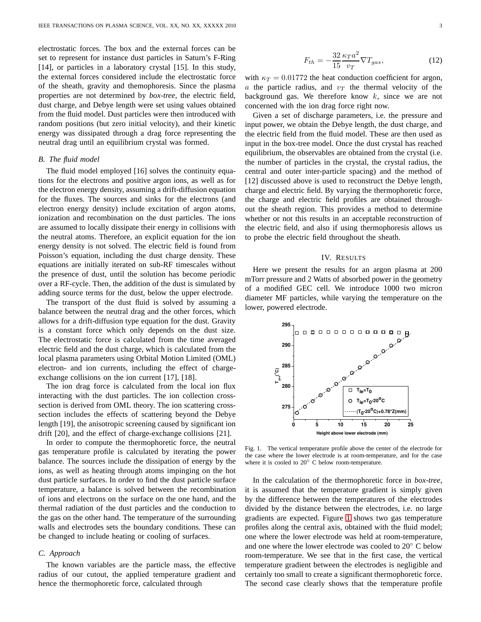electrostatic forces. The box and the external forces can be set to represent for instance dust particles in Saturn's F-Ring [14], or particles in a laboratory crystal [15]. In this study, the external forces considered include the electrostatic force of the sheath, gravity and themophoresis. Since the plasma properties are not determined by *box-tree*, the electric field, dust charge, and Debye length were set using values obtained from the fluid model. Dust particles were then introduced with random positions (but zero initial velocity), and their kinetic energy was dissipated through a drag force representing the neutral drag until an equilibrium crystal was formed.

# *B. The fluid model*

The fluid model employed [16] solves the continuity equations for the electrons and positive argon ions, as well as for the electron energy density, assuming a drift-diffusion equation for the fluxes. The sources and sinks for the electrons (and electron energy density) include excitation of argon atoms, ionization and recombination on the dust particles. The ions are assumed to locally dissipate their energy in collisions with the neutral atoms. Therefore, an explicit equation for the ion energy density is not solved. The electric field is found from Poisson's equation, including the dust charge density. These equations are initially iterated on sub-RF timescales without the presence of dust, until the solution has become periodic over a RF-cycle. Then, the addition of the dust is simulated by adding source terms for the dust, below the upper electrode.

The transport of the dust fluid is solved by assuming a balance between the neutral drag and the other forces, which allows for a drift-diffusion type equation for the dust. Gravity is a constant force which only depends on the dust size. The electrostatic force is calculated from the time averaged electric field and the dust charge, which is calculated from the local plasma parameters using Orbital Motion Limited (OML) electron- and ion currents, including the effect of chargeexchange collisions on the ion current [17], [18].

The ion drag force is calculated from the local ion flux interacting with the dust particles. The ion collection crosssection is derived from OML theory. The ion scattering crosssection includes the effects of scattering beyond the Debye length [19], the anisotropic screening caused by significant ion drift [20], and the effect of charge-exchange collisions [21].

In order to compute the thermophoretic force, the neutral gas temperature profile is calculated by iterating the power balance. The sources include the dissipation of energy by the ions, as well as heating through atoms impinging on the hot dust particle surfaces. In order to find the dust particle surface temperature, a balance is solved between the recombination of ions and electrons on the surface on the one hand, and the thermal radiation of the dust particles and the conduction to the gas on the other hand. The temperature of the surrounding walls and electrodes sets the boundary conditions. These can be changed to include heating or cooling of surfaces.

# *C. Approach*

The known variables are the particle mass, the effective radius of our cutout, the applied temperature gradient and hence the thermophoretic force, calculated through

$$
F_{th} = -\frac{32}{15} \frac{\kappa_T a^2}{v_T} \nabla T_{gas},\tag{12}
$$

with  $\kappa_T = 0.01772$  the heat conduction coefficient for argon, a the particle radius, and  $v<sub>T</sub>$  the thermal velocity of the background gas. We therefore know  $k$ , since we are not concerned with the ion drag force right now.

Given a set of discharge parameters, i.e. the pressure and input power, we obtain the Debye length, the dust charge, and the electric field from the fluid model. These are then used as input in the box-tree model. Once the dust crystal has reached equilibrium, the observables are obtained from the crystal (i.e. the number of particles in the crystal, the crystal radius, the central and outer inter-particle spacing) and the method of [12] discussed above is used to reconstruct the Debye length, charge and electric field. By varying the thermophoretic force, the charge and electric field profiles are obtained throughout the sheath region. This provides a method to determine whether or not this results in an acceptable reconstruction of the electric field, and also if using thermophoresis allows us to probe the electric field throughout the sheath.

## IV. RESULTS

Here we present the results for an argon plasma at 200 mTorr pressure and 2 Watts of absorbed power in the geometry of a modified GEC cell. We introduce 1000 two micron diameter MF particles, while varying the temperature on the lower, powered electrode.



<span id="page-2-0"></span>Fig. 1. The vertical temperature profile above the center of the electrode for the case where the lower electrode is at room-temperature, and for the case where it is cooled to 20℃ C below room-temperature.

In the calculation of the thermophoretic force in *box-tree*, it is assumed that the temperature gradient is simply given by the difference between the temperatures of the electrodes divided by the distance between the electrodes, i.e. no large gradients are expected. Figure [1](#page-2-0) shows two gas temperature profiles along the central axis, obtained with the fluid model; one where the lower electrode was held at room-temperature, and one where the lower electrode was cooled to 20◦ C below room-temperature. We see that in the first case, the vertical temperature gradient between the electrodes is negligible and certainly too small to create a significant thermophoretic force. The second case clearly shows that the temperature profile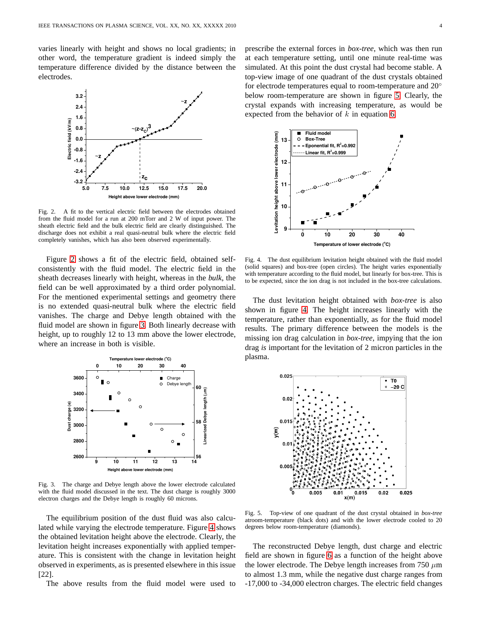varies linearly with height and shows no local gradients; in other word, the temperature gradient is indeed simply the temperature difference divided by the distance between the electrodes.



<span id="page-3-0"></span>Fig. 2. A fit to the vertical electric field between the electrodes obtained from the fluid model for a run at 200 mTorr and 2 W of input power. The sheath electric field and the bulk electric field are clearly distinguished. The discharge does not exhibit a real quasi-neutral bulk where the electric field completely vanishes, which has also been observed experimentally.

Figure [2](#page-3-0) shows a fit of the electric field, obtained selfconsistently with the fluid model. The electric field in the sheath decreases linearly with height, whereas in the *bulk*, the field can be well approximated by a third order polynomial. For the mentioned experimental settings and geometry there is no extended quasi-neutral bulk where the electric field vanishes. The charge and Debye length obtained with the fluid model are shown in figure [3.](#page-3-1) Both linearly decrease with height, up to roughly 12 to 13 mm above the lower electrode, where an increase in both is visible.



<span id="page-3-1"></span>Fig. 3. The charge and Debye length above the lower electrode calculated with the fluid model discussed in the text. The dust charge is roughly 3000 electron charges and the Debye length is roughly 60 microns.

The equilibrium position of the dust fluid was also calculated while varying the electrode temperature. Figure [4](#page-3-2) shows the obtained levitation height above the electrode. Clearly, the levitation height increases exponentially with applied temperature. This is consistent with the change in levitation height observed in experiments, as is presented elsewhere in this issue [22].

The above results from the fluid model were used to

prescribe the external forces in *box-tree*, which was then run at each temperature setting, until one minute real-time was simulated. At this point the dust crystal had become stable. A top-view image of one quadrant of the dust crystals obtained for electrode temperatures equal to room-temperature and  $20^{\circ}$ below room-temperature are shown in figure [5.](#page-3-3) Clearly, the crystal expands with increasing temperature, as would be expected from the behavior of  $k$  in equation [6.](#page-1-2)



<span id="page-3-2"></span>Fig. 4. The dust equilibrium levitation height obtained with the fluid model (solid squares) and box-tree (open circles). The height varies exponentially with temperature according to the fluid model, but linearly for box-tree. This is to be expected, since the ion drag is not included in the box-tree calculations.

The dust levitation height obtained with *box-tree* is also shown in figure [4.](#page-3-2) The height increases linearly with the temperature, rather than exponentially, as for the fluid model results. The primary difference between the models is the missing ion drag calculation in *box-tree*, impying that the ion drag *is* important for the levitation of 2 micron particles in the plasma.



<span id="page-3-3"></span>Fig. 5. Top-view of one quadrant of the dust crystal obtained in *box-tree* atroom-temperature (black dots) and with the lower electrode cooled to 20 degrees below room-temperature (diamonds).

The reconstructed Debye length, dust charge and electric field are shown in figure [6](#page-4-0) as a function of the height above the lower electrode. The Debye length increases from 750  $\mu$ m to almost 1.3 mm, while the negative dust charge ranges from -17,000 to -34,000 electron charges. The electric field changes